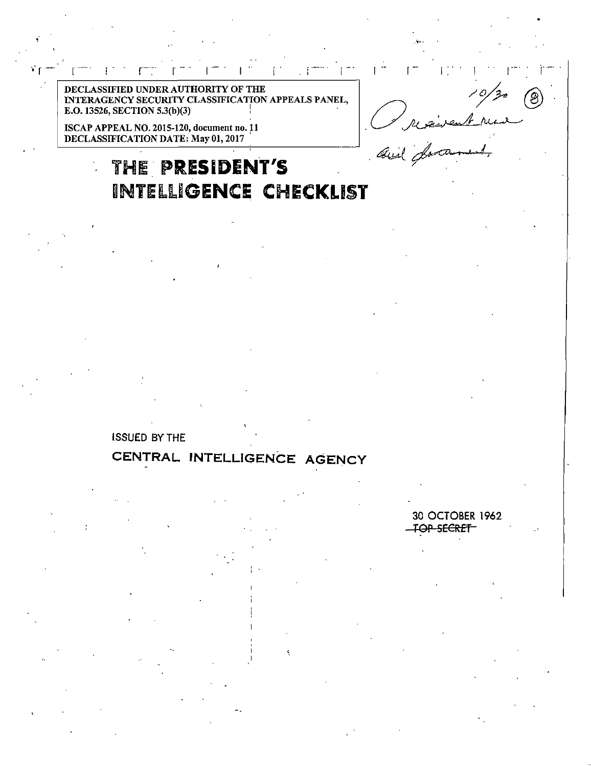DECLASSIFIED UNDER AUTHORITY OF THE INTERAGENCY SECURITY CLASSIFICATION APPEALS PANEL. E.O. 13526, SECTION 5.3(b)(3)

ISCAP APPEAL NO. 2015-120, document no. 11<br>DECLASSIFICATION DATE: May 01, 2017

# THE PRESIDENT'S INTELLIGENCE CHECKLIST

**ISSUED BY THE** 

## CENTRAL INTELLIGENCE AGENCY

30 OCTOBER 1962 **FOP SECRET** 

and for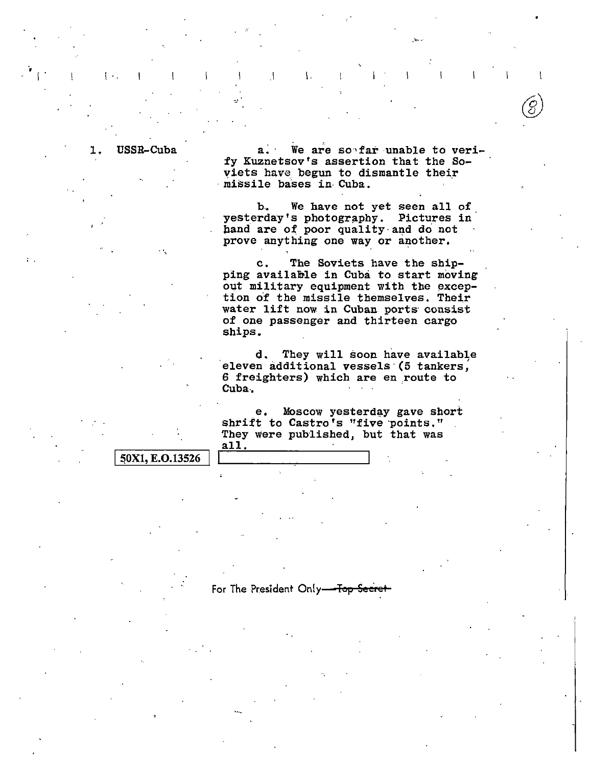1. USSR-Cuba a. We are so far unable to verify Kuznetsov's assertion that the Soyiets have begun to dismantle their<br>missile bases in Cuba.

·""·

b.. We have not yet seen all of yesterday's photography. Pictures in hand are of poor quality and do not prove anything one way or another.

c. The Soviets have the shipping available in Cuba to start moving out military equipment with the exception of the missile themselves. Their water lift now in Cuban ports consist of one passenger and thirteen cargo sbips.

d. They will soon have available eleven additional vessels (5 tankers, 6 freighters) which are en route to Cuba..

e. Moscow yesterday gave short shrift to Castro's "five points." They were published, but that was all.

50X1, E.O.13526

 $\mathbf{v}$  is a set of the contract of the contract of the contract of the contract of the contract of the contract of the contract of the contract of the contract of the contract of the contract of the contract of the cont

For The President Only-Top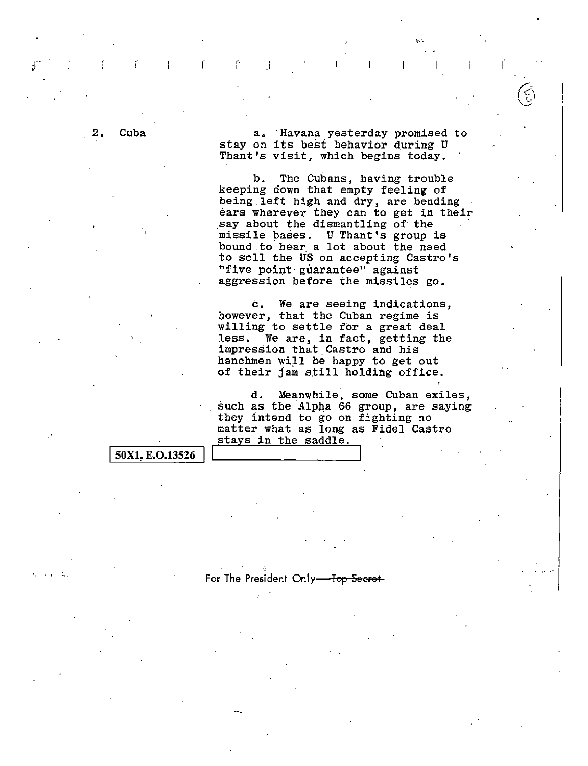2. Cuba a. Havana yesterday promised to stay on its best behavior during U Thant's visit, which begins today.

 $\Gamma = \Gamma - 1$  ,  $\Gamma = \Gamma - 1$  ,  $\Gamma = \Gamma - 1$  ,  $\Gamma = \Gamma - 1$  ,  $\Gamma = \Gamma$ 

b. The Cubans, having trouble keeping down that empty feeling of being left high and dry, are bending ears wherever they can to get in their<br>say about the dismantling of the missile bases. U Thant's group is bound to hear. a lot about the need to sell the US on accepting Castro's "five point guarantee" against aggression before the missiles go.

c. We are seeing indications, however, that the Cuban regime is willing to settle for a great deal dess. We are, in fact, getting the impression that Castro and his henchmen will be happy to get out of their Jam still holding office.

d. Meanwhile, some Cuban exiles, such as the Alpha 66 group, are saying they 1ntend to go on fighting no matter what as long as Fidel Castro stays in the saddle,

For The President Only-Top Secret-

50X1, E.O.13526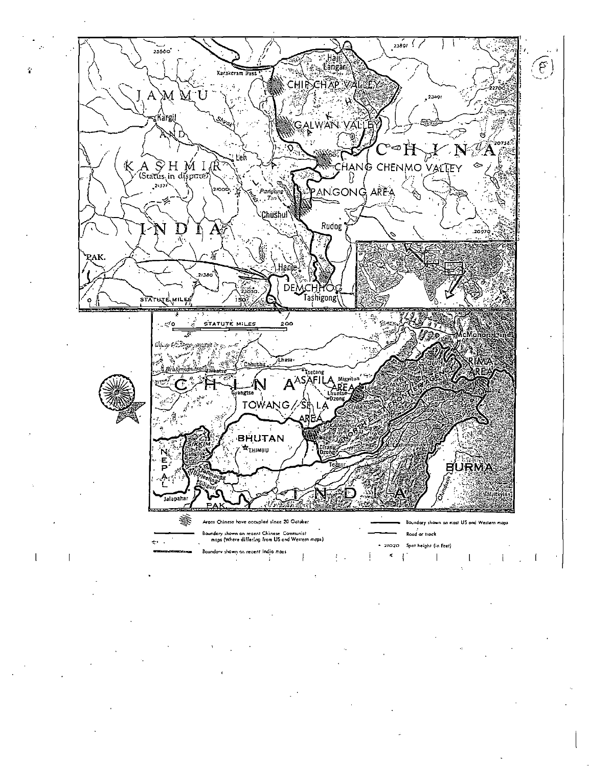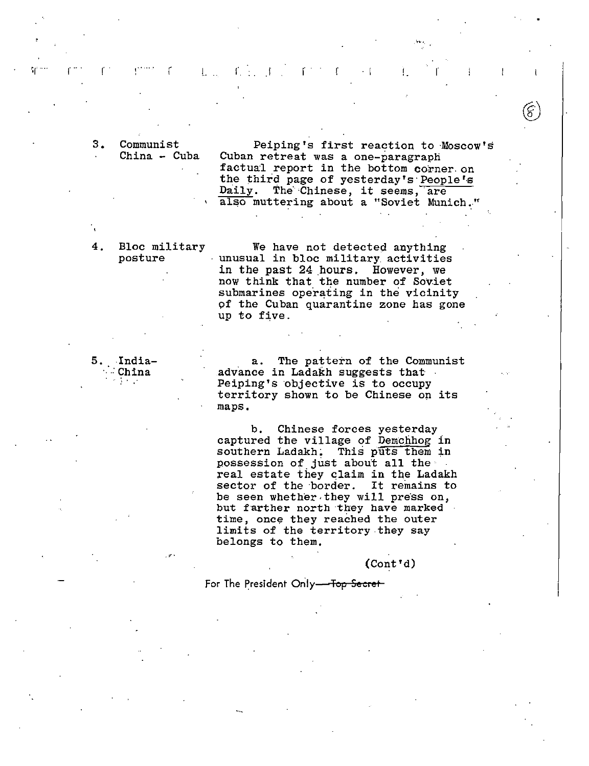3. Communist China - Cuba

Peiping's first reaction to Moscow's Cuban retreat was a one-paragraph factual report in the bottom corner. on the third page of yesterday's People's Daily. The Chinese, it seems, are also muttering about a "Soviet Munich."

 $\widehat{\left( \xi\right) }$  $^{(5)}$ 

For a contract of the contract of the contract of the contract of the contract of the contract of the contract of the contract of the contract of the contract of the contract of the contract of the contract of the contract

4. Bloc military posture

We have not detected anything unusual in bloc military activities in the past 24 .hours. However, we now think that the number of Soviet submarines operating in the vicinity of the Cuban quarantine zone has gone up to five.

5. India-*.:* China . ~ . .

,;'•

a. The pattern of the Communist advance in Ladakh suggests that Peiping's objective is to occupy territory shown to be Chinese on its maps.

b. Chinese forces yesterday captured the village of Demchhog in southern Ladakh; This puts them in possession of just about all the real estate they claim in the Ladakh sector of the border. It remains to be seen whether they will press on, but farther north they have marked time, once they reached the outer limits of the territory they say belongs to them.

(Cont'd)

For The President Only-Top Secret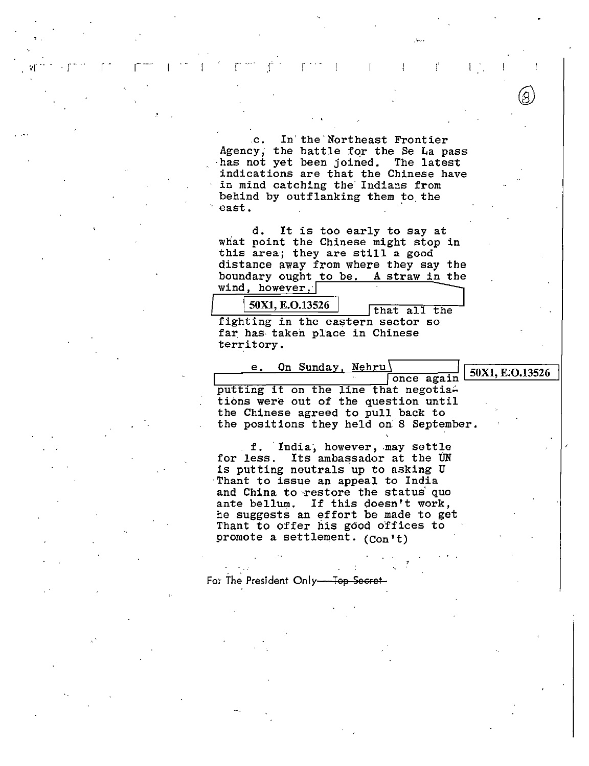.c. In' the'Northeast Frontier Agency, the battle for the Se La pass ·has not yet been joined. The latest indications are that the Chinese have in mind catching the Indians from behind by outflanking them to. the  $\frac{1}{2}$   $\frac{1}{2}$   $\frac{1}{2}$   $\frac{1}{2}$   $\frac{1}{2}$   $\frac{1}{2}$   $\frac{1}{2}$   $\frac{1}{2}$   $\frac{1}{2}$   $\frac{1}{2}$   $\frac{1}{2}$   $\frac{1}{2}$   $\frac{1}{2}$   $\frac{1}{2}$   $\frac{1}{2}$   $\frac{1}{2}$   $\frac{1}{2}$   $\frac{1}{2}$   $\frac{1}{2}$   $\frac{1}{2}$   $\frac{1}{2}$   $\frac{1}{2}$ 

. The contract of the contract of the contract of the contract of the contract of the contract of the contract of the contract of the contract of the contract of the contract of the contract of the contract of the contrac

. « $r^{\frac{1}{2}+\frac{1}{2}}$  ·  $r^{\frac{1}{2}+\frac{1}{2}}$  .  $r^{\frac{1}{2}+\frac{1}{2}}$  .  $r^{\frac{1}{2}+\frac{1}{2}}$  .  $r^{\frac{1}{2}+\frac{1}{2}}$  .  $r^{\frac{1}{2}+\frac{1}{2}}$  .  $r^{\frac{1}{2}+\frac{1}{2}}$  .  $r^{\frac{1}{2}+\frac{1}{2}}$  .  $r^{\frac{1}{2}+\frac{1}{2}}$ 

'

d. It is too early to say at what point the Chinese might stop in what point the uninese might stop<br>this area; they are still a good distance away from where they say the boundary ought to be. A straw in the wind, however,

 $50X1, E.O.13526$  that all the fighting in the eastern sector so far has- taken place in Chinese territory.

e. On Sunday, Nehru\ / I 50X1, E.O.13526 putting it on the line that negotiations were out of the question until the Chinese agreed to pull back to the positions they held on: 8 September.

f. India, however, may settle for less. Its ambassador at the UN is putting neutrals up to asking U Thant to issue an appeal to India and China to restore the status' quo ante bellum. If this doesn't work, he suggests an effort be made to get Thant to offer his good offices to promote a settlement. (Con't)

For The President Only-Top-Secret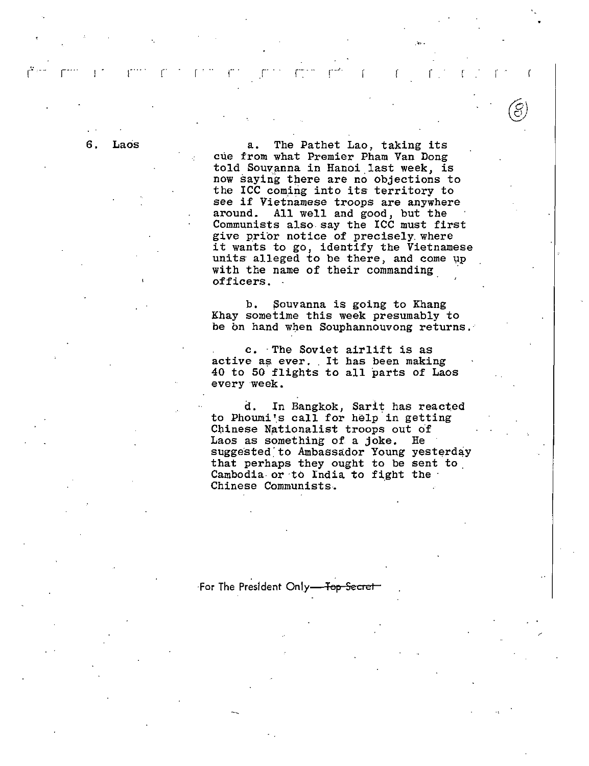6. Laos a. The Pathet Lao, taking its cue from what Premier Pham Van Dong told Souvanna in Hanoi.last week, is now saying there are no objections to the ICC coming into its territory to see if Vietnamese troops are anywhere around. All well and good, but the Communists also.say the ICC must first give prior notice of precisely. where it wants to go, identify the Vietnamese units alleged to be there, and come up with the name of their commanding officers.

r · ·· r· · r .

.'<•··

*(01 \S\_)* 

b. Souvanna is going to Khang Khay sometime this week presumably to be on hand when Souphannouvong returns.

c. ·The Soviet airlift is as active as ever. It has been making 40 to 50 flights to all parts of Laos every week.

d. In Bangkok, Sarit has reacted to Phoumi's call for help in getting Chinese Nationalist troops out of Laos as something of a joke. He suggested to Ambassador Young yesterday that perhaps they ought to be sent to . Cambodia. or ·to India to fight the · Chinese Communists. ·

#### ·For The President Only-Top-Secret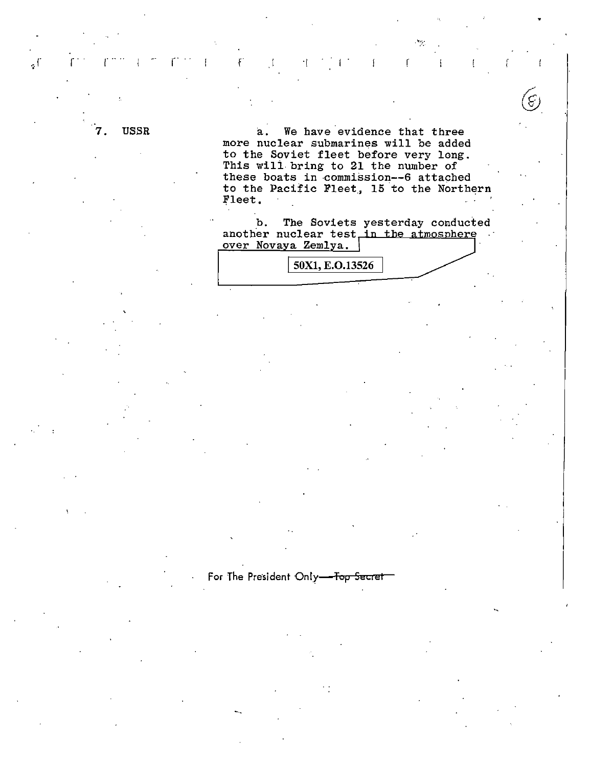**USSR** 

آءِ

We have evidence that three a. more nuclear submarines will be added to the Soviet fleet before very long. This will bring to 21 the number of these boats in commission--6 attached to the Pacific Fleet, 15 to the Northern Fleet.

ſ

ر<br>رنبي

The Soviets yesterday conducted  $b.$ another nuclear test in the atmosphere over Novaya Zemlya.

50X1, E.O.13526

For The President Only-Top Secret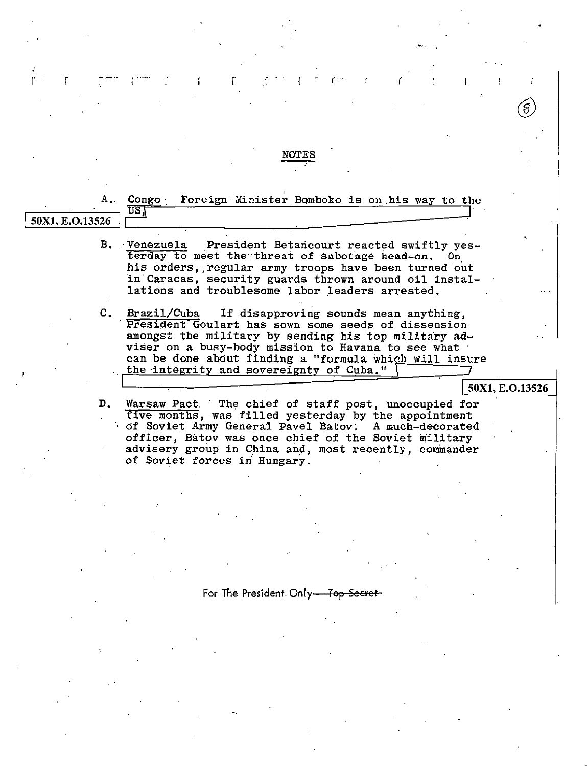|                 | NOTES                                                                                                                                                                                                                                                                                                                                 |
|-----------------|---------------------------------------------------------------------------------------------------------------------------------------------------------------------------------------------------------------------------------------------------------------------------------------------------------------------------------------|
| 50X1, E.O.13526 | Foreign Minister Bomboko is on his way to the<br>A. Congo<br>US,                                                                                                                                                                                                                                                                      |
|                 | B. Venezuela President Betancourt reacted swiftly yes-<br>terday to meet the threat of sabotage head-on. On<br>his orders, regular army troops have been turned out<br>in Caracas, security guards thrown around oil instal-<br>lations and troublesome labor leaders arrested.                                                       |
|                 | Brazil/Cuba<br>If disapproving sounds mean anything,<br>C.<br>President Goulart has sown some seeds of dissension.<br>amongst the military by sending his top military ad-<br>viser on a busy-body mission to Havana to see what<br>can be done about finding a "formula which will insure<br>the integrity and sovereignty of Cuba." |
|                 | 50X1, E.O.13526                                                                                                                                                                                                                                                                                                                       |
|                 | D. Warsaw Pact The chief of staff post, unoccupied for<br>five months, was filled yesterday by the appointment<br>of Soviet Army General Pavel Batov. A much-decorated<br>officer, Batov was once chief of the Soviet military<br>advisery group in China and, most recently, commander<br>of Soviet forces in Hungary.               |
|                 |                                                                                                                                                                                                                                                                                                                                       |
|                 |                                                                                                                                                                                                                                                                                                                                       |
|                 |                                                                                                                                                                                                                                                                                                                                       |
|                 |                                                                                                                                                                                                                                                                                                                                       |

 $\begin{minipage}{0.9\linewidth} \begin{tabular}{|c|c|} \hline \multicolumn{3}{|c|}{\textbf{For The President: Only} \textcolor{blue}{\textbf{--Top-Secret-}}} \end{tabular} \end{minipage} \vspace{0.05in} \begin{tabular}{|c|c|c|} \hline \multicolumn{3}{|c|}{\textbf{For The President: Only} \textcolor{blue}{\textbf{--Top-Secret-}}} \end{tabular} \end{minipage} \vspace{0.05in} \begin{tabular}{|c|c|c|c|} \hline \multicolumn{3}{|c|}{\textbf{For The President: Only} \textcolor{blue}{\textbf{--Top-Secret-$